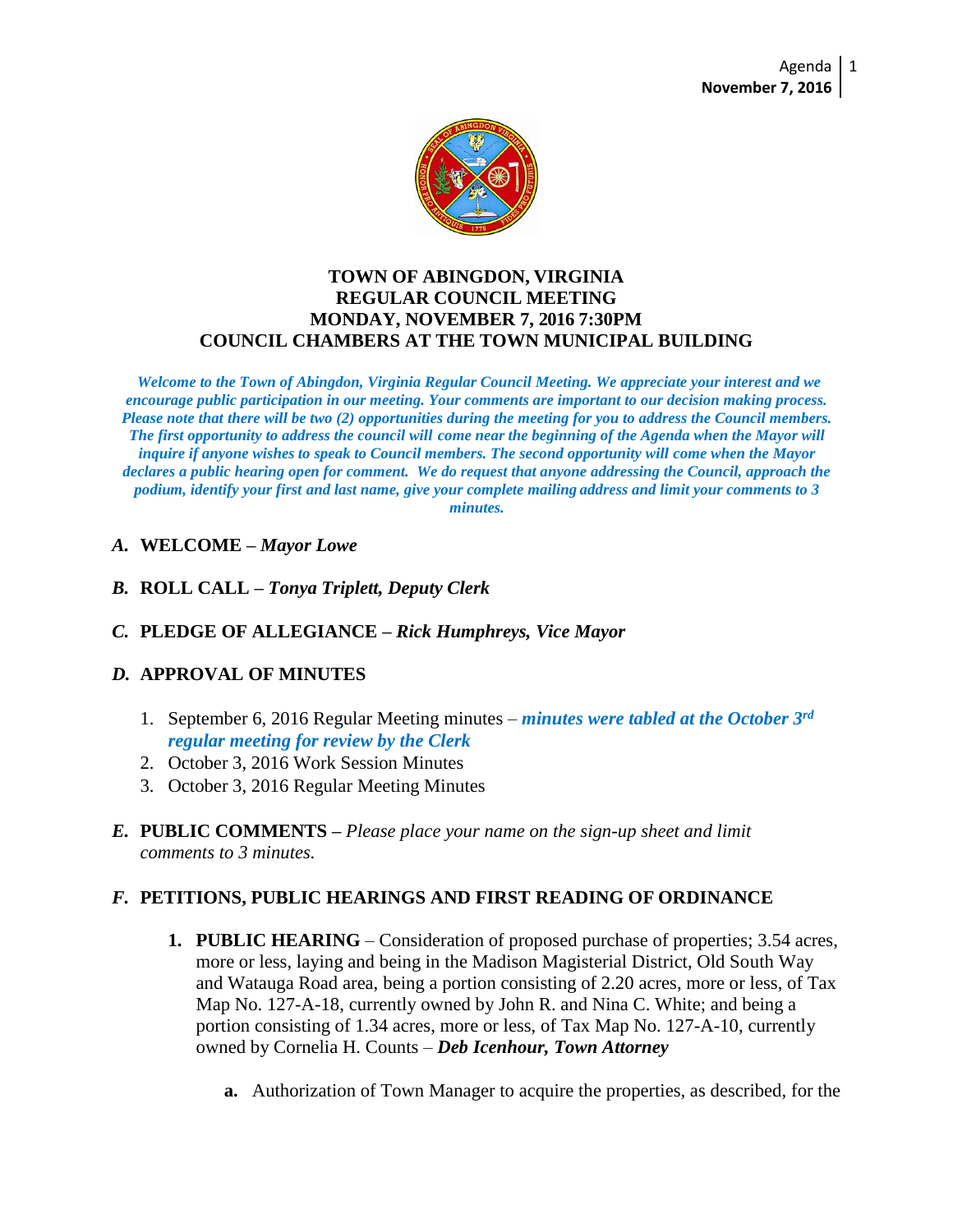

#### **TOWN OF ABINGDON, VIRGINIA REGULAR COUNCIL MEETING MONDAY, NOVEMBER 7, 2016 7:30PM COUNCIL CHAMBERS AT THE TOWN MUNICIPAL BUILDING**

*Welcome to the Town of Abingdon, Virginia Regular Council Meeting. We appreciate your interest and we encourage public participation in our meeting. Your comments are important to our decision making process. Please note that there will be two (2) opportunities during the meeting for you to address the Council members. The first opportunity to address the council will come near the beginning of the Agenda when the Mayor will inquire if anyone wishes to speak to Council members. The second opportunity will come when the Mayor declares a public hearing open for comment. We do request that anyone addressing the Council, approach the podium, identify your first and last name, give your complete mailing address and limit your comments to 3 minutes.*

- *A.* **WELCOME –** *Mayor Lowe*
- *B.* **ROLL CALL –** *Tonya Triplett, Deputy Clerk*
- *C.* **PLEDGE OF ALLEGIANCE –** *Rick Humphreys, Vice Mayor*

### *D.* **APPROVAL OF MINUTES**

- 1. September 6, 2016 Regular Meeting minutes *minutes were tabled at the October 3rd regular meeting for review by the Clerk*
- 2. October 3, 2016 Work Session Minutes
- 3. October 3, 2016 Regular Meeting Minutes
- *E.* **PUBLIC COMMENTS –** *Please place your name on the sign-up sheet and limit comments to 3 minutes.*

### *F.* **PETITIONS, PUBLIC HEARINGS AND FIRST READING OF ORDINANCE**

- **1. PUBLIC HEARING**  Consideration of proposed purchase of properties; 3.54 acres, more or less, laying and being in the Madison Magisterial District, Old South Way and Watauga Road area, being a portion consisting of 2.20 acres, more or less, of Tax Map No. 127-A-18, currently owned by John R. and Nina C. White; and being a portion consisting of 1.34 acres, more or less, of Tax Map No. 127-A-10, currently owned by Cornelia H. Counts – *Deb Icenhour, Town Attorney*
	- **a.** Authorization of Town Manager to acquire the properties, as described, for the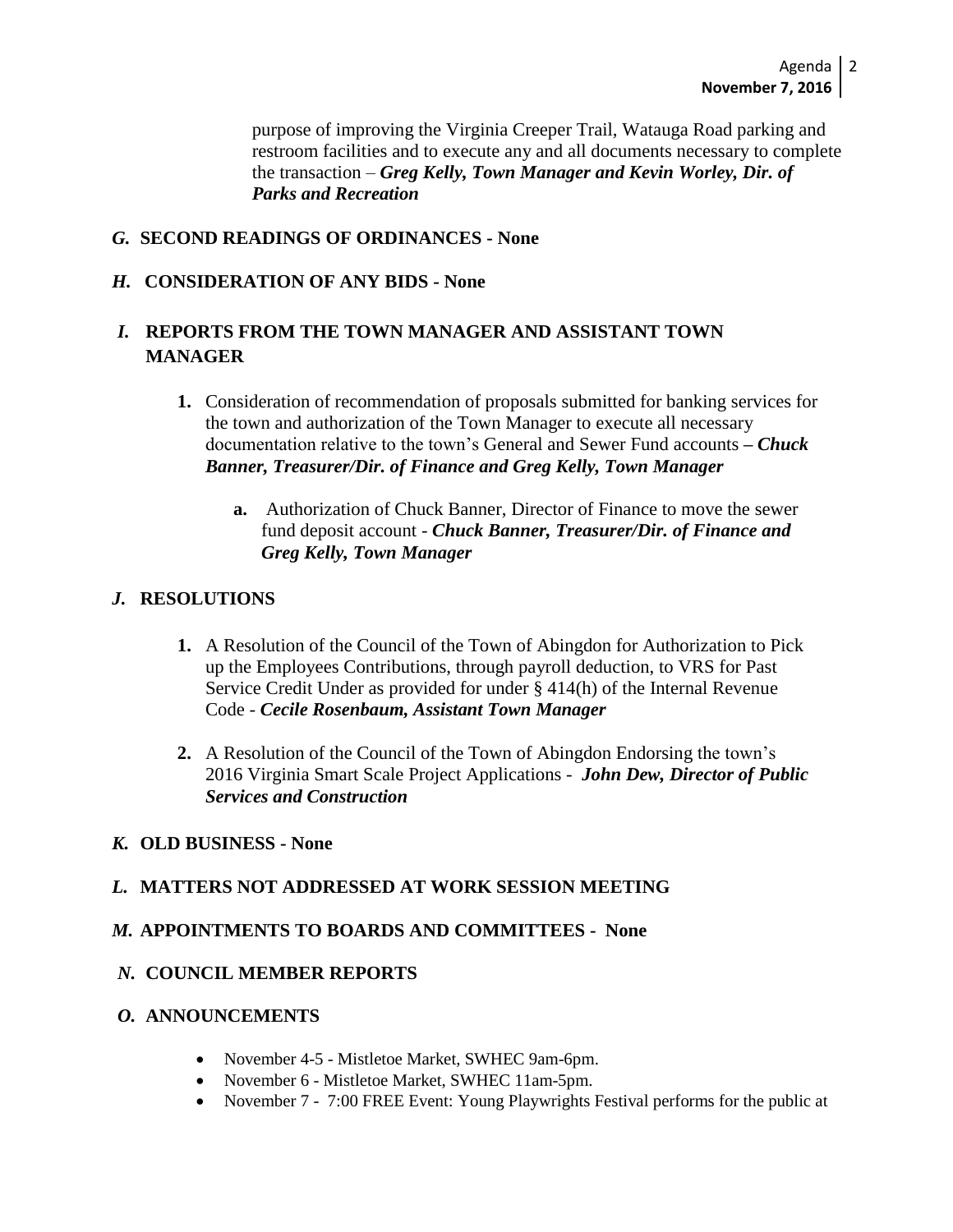purpose of improving the Virginia Creeper Trail, Watauga Road parking and restroom facilities and to execute any and all documents necessary to complete the transaction – *Greg Kelly, Town Manager and Kevin Worley, Dir. of Parks and Recreation* 

## *G.* **SECOND READINGS OF ORDINANCES - None**

### *H.* **CONSIDERATION OF ANY BIDS - None**

# *I.* **REPORTS FROM THE TOWN MANAGER AND ASSISTANT TOWN MANAGER**

- **1.** Consideration of recommendation of proposals submitted for banking services for the town and authorization of the Town Manager to execute all necessary documentation relative to the town's General and Sewer Fund accounts **–** *Chuck Banner, Treasurer/Dir. of Finance and Greg Kelly, Town Manager*
	- **a.** Authorization of Chuck Banner, Director of Finance to move the sewer fund deposit account - *Chuck Banner, Treasurer/Dir. of Finance and Greg Kelly, Town Manager*

# *J.* **RESOLUTIONS**

- **1.** A Resolution of the Council of the Town of Abingdon for Authorization to Pick up the Employees Contributions, through payroll deduction, to VRS for Past Service Credit Under as provided for under § 414(h) of the Internal Revenue Code - *Cecile Rosenbaum, Assistant Town Manager*
- **2.** A Resolution of the Council of the Town of Abingdon Endorsing the town's 2016 Virginia Smart Scale Project Applications - *John Dew, Director of Public Services and Construction*

### *K.* **OLD BUSINESS - None**

### *L.* **MATTERS NOT ADDRESSED AT WORK SESSION MEETING**

### *M.* **APPOINTMENTS TO BOARDS AND COMMITTEES - None**

### *N.* **COUNCIL MEMBER REPORTS**

#### *O.* **ANNOUNCEMENTS**

- November 4-5 Mistletoe Market, SWHEC 9am-6pm.
- November 6 Mistletoe Market, SWHEC 11am-5pm.
- November 7 7:00 FREE Event: Young Playwrights Festival performs for the public at